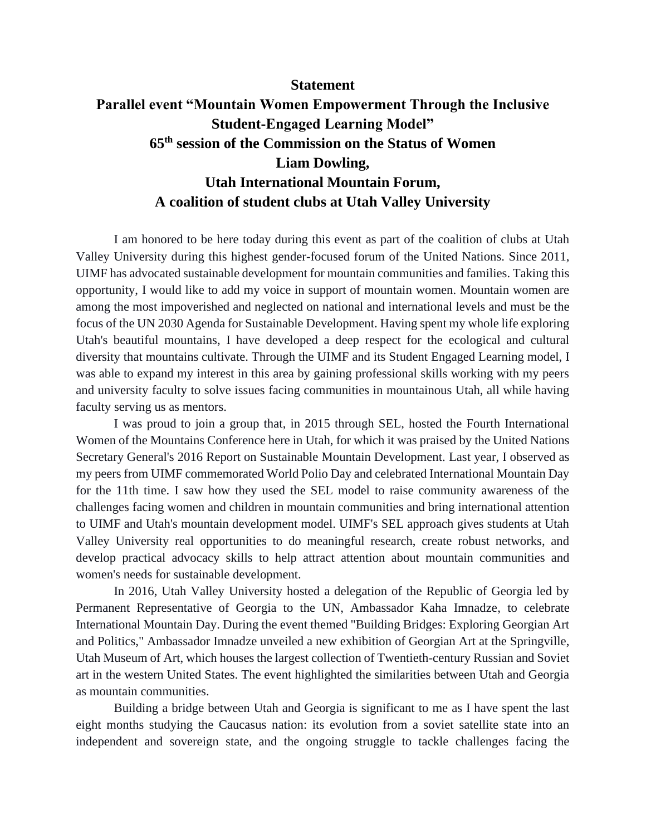## **Statement**

## **Parallel event "Mountain Women Empowerment Through the Inclusive Student-Engaged Learning Model" 65th session of the Commission on the Status of Women Liam Dowling, Utah International Mountain Forum, A coalition of student clubs at Utah Valley University**

I am honored to be here today during this event as part of the coalition of clubs at Utah Valley University during this highest gender-focused forum of the United Nations. Since 2011, UIMF has advocated sustainable development for mountain communities and families. Taking this opportunity, I would like to add my voice in support of mountain women. Mountain women are among the most impoverished and neglected on national and international levels and must be the focus of the UN 2030 Agenda for Sustainable Development. Having spent my whole life exploring Utah's beautiful mountains, I have developed a deep respect for the ecological and cultural diversity that mountains cultivate. Through the UIMF and its Student Engaged Learning model, I was able to expand my interest in this area by gaining professional skills working with my peers and university faculty to solve issues facing communities in mountainous Utah, all while having faculty serving us as mentors.

I was proud to join a group that, in 2015 through SEL, hosted the Fourth International Women of the Mountains Conference here in Utah, for which it was praised by the United Nations Secretary General's 2016 Report on Sustainable Mountain Development. Last year, I observed as my peers from UIMF commemorated World Polio Day and celebrated International Mountain Day for the 11th time. I saw how they used the SEL model to raise community awareness of the challenges facing women and children in mountain communities and bring international attention to UIMF and Utah's mountain development model. UIMF's SEL approach gives students at Utah Valley University real opportunities to do meaningful research, create robust networks, and develop practical advocacy skills to help attract attention about mountain communities and women's needs for sustainable development.

In 2016, Utah Valley University hosted a delegation of the Republic of Georgia led by Permanent Representative of Georgia to the UN, Ambassador Kaha Imnadze, to celebrate International Mountain Day. During the event themed "Building Bridges: Exploring Georgian Art and Politics," Ambassador Imnadze unveiled a new exhibition of Georgian Art at the Springville, Utah Museum of Art, which houses the largest collection of Twentieth-century Russian and Soviet art in the western United States. The event highlighted the similarities between Utah and Georgia as mountain communities.

Building a bridge between Utah and Georgia is significant to me as I have spent the last eight months studying the Caucasus nation: its evolution from a soviet satellite state into an independent and sovereign state, and the ongoing struggle to tackle challenges facing the